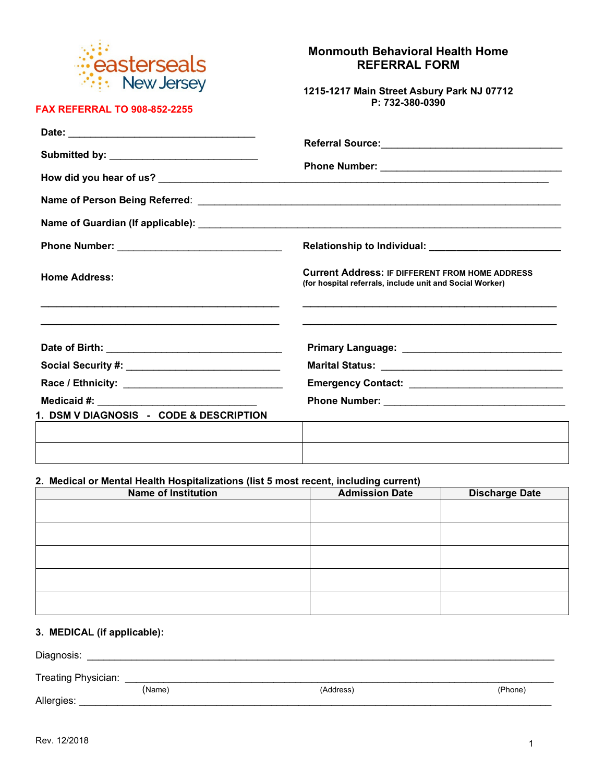

**FAX REFERRAL TO 908-852-2255**

## **Monmouth Behavioral Health Home REFERRAL FORM**

**1215-1217 Main Street Asbury Park NJ 07712 P: 732-380-0390**

| Submitted by: _______________________________ |                                                                                                                    |  |
|-----------------------------------------------|--------------------------------------------------------------------------------------------------------------------|--|
|                                               |                                                                                                                    |  |
|                                               |                                                                                                                    |  |
|                                               |                                                                                                                    |  |
|                                               |                                                                                                                    |  |
| <b>Home Address:</b>                          | <b>Current Address: IF DIFFERENT FROM HOME ADDRESS</b><br>(for hospital referrals, include unit and Social Worker) |  |
|                                               |                                                                                                                    |  |
|                                               |                                                                                                                    |  |
|                                               |                                                                                                                    |  |
|                                               |                                                                                                                    |  |
| 1. DSM V DIAGNOSIS - CODE & DESCRIPTION       |                                                                                                                    |  |
|                                               |                                                                                                                    |  |
|                                               |                                                                                                                    |  |

### **2. Medical or Mental Health Hospitalizations (list 5 most recent, including current)**

| <b>Name of Institution</b> | <b>Admission Date</b> | <b>Discharge Date</b> |
|----------------------------|-----------------------|-----------------------|
|                            |                       |                       |
|                            |                       |                       |
|                            |                       |                       |
|                            |                       |                       |
|                            |                       |                       |
|                            |                       |                       |
|                            |                       |                       |
|                            |                       |                       |
|                            |                       |                       |
|                            |                       |                       |

# **3. MEDICAL (if applicable):**

| Diagnosis:          |        |           |         |
|---------------------|--------|-----------|---------|
| Treating Physician: |        |           |         |
|                     | (Name) | (Address) | (Phone) |
| Allergies:          |        |           |         |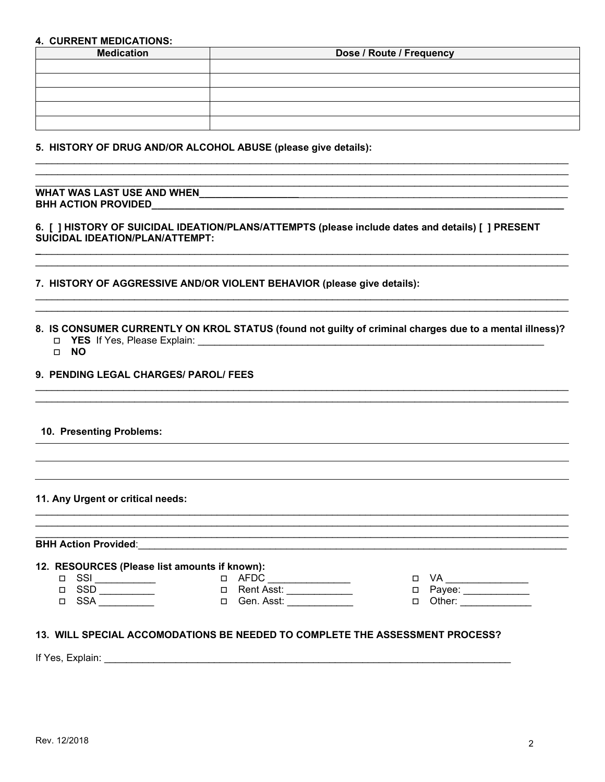#### **4. CURRENT MEDICATIONS:**

| <b>Medication</b> | Dose / Route / Frequency |  |
|-------------------|--------------------------|--|
|                   |                          |  |
|                   |                          |  |
|                   |                          |  |
|                   |                          |  |
|                   |                          |  |

5. HISTORY OF DRUG AND/OR ALCOHOL ABUSE (please give details):

### WHAT WAS LAST USE AND WHEN MARKED AND RESIDENCE AND RELEASE AND MELTIC CONTROL CONTROL AND THE USE OF THE USE OF THE USE OF THE USE OF THE USE OF THE USE OF THE USE OF THE USE OF THE USE OF THE USE OF THE USE OF THE USE OF BHH ACTION PROVIDED\_\_\_\_\_\_\_

#### 6. [ ] HISTORY OF SUICIDAL IDEATION/PLANS/ATTEMPTS (please include dates and details) [ ] PRESENT SUICIDAL IDEATION/PLAN/ATTEMPT:

#### 7. HISTORY OF AGGRESSIVE AND/OR VIOLENT BEHAVIOR (please give details):

#### 8. IS CONSUMER CURRENTLY ON KROL STATUS (found not guilty of criminal charges due to a mental illness)? □ YES If Yes, Please Explain:

D NO

### 9. PENDING LEGAL CHARGES/ PAROL/ FEES

#### 10. Presenting Problems:

#### 11. Any Urgent or critical needs:

## **BHH Action Provided:**

#### 12. RESOURCES (Please list amounts if known):

| ٠<br>۰.<br>I |
|--------------|
|              |

- $\begin{array}{c}\n\hline\n\Box\n\end{array}$
- 
- □ VA \_\_\_\_\_\_\_\_\_\_\_\_\_\_<br>□ Payee: \_\_\_\_\_\_\_\_\_\_\_\_\_<br>□ Other: \_\_\_\_\_\_\_\_\_\_\_\_\_\_

#### 13. WILL SPECIAL ACCOMODATIONS BE NEEDED TO COMPLETE THE ASSESSMENT PROCESS?

If Yes, Explain: The Contract of the Contract of the Contract of the Contract of the Contract of the Contract of the Contract of the Contract of the Contract of the Contract of the Contract of the Contract of the Contract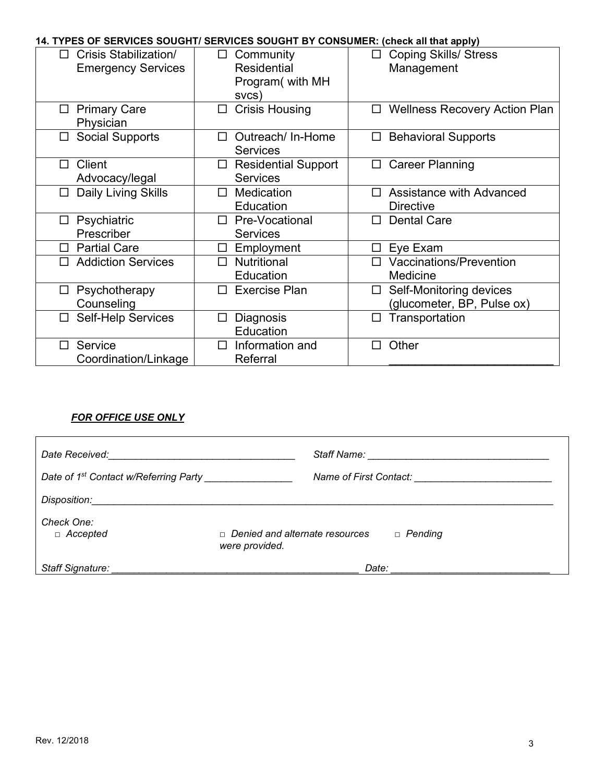# **14. TYPES OF SERVICES SOUGHT/ SERVICES SOUGHT BY CONSUMER: (check all that apply)**

| <u>ULITTUCU UUUUITI/ ULITTI</u><br><b>Crisis Stabilization/</b><br>П<br><b>Emergency Services</b> | Community<br>$\Box$<br><b>Residential</b><br>Program( with MH<br>svcs) | 00000111 DT 001100MLIN. (CHCCK GIL GIGL GPPIY)<br><b>Coping Skills/ Stress</b><br>$\Box$<br>Management |
|---------------------------------------------------------------------------------------------------|------------------------------------------------------------------------|--------------------------------------------------------------------------------------------------------|
| <b>Primary Care</b><br>□<br>Physician                                                             | <b>Crisis Housing</b><br>□                                             | <b>Wellness Recovery Action Plan</b><br>$\Box$                                                         |
| <b>Social Supports</b><br>$\Box$                                                                  | Outreach/ In-Home<br>П<br><b>Services</b>                              | <b>Behavioral Supports</b><br>$\Box$                                                                   |
| Client<br>П<br>Advocacy/legal                                                                     | <b>Residential Support</b><br>$\Box$<br><b>Services</b>                | <b>Career Planning</b><br>□                                                                            |
| Daily Living Skills<br>□                                                                          | <b>Medication</b><br>П<br>Education                                    | Assistance with Advanced<br>П<br><b>Directive</b>                                                      |
| Psychiatric<br>ப<br>Prescriber                                                                    | Pre-Vocational<br>П<br><b>Services</b>                                 | <b>Dental Care</b><br>п                                                                                |
| <b>Partial Care</b><br>п                                                                          | Employment<br>П                                                        | Eye Exam<br>□                                                                                          |
| <b>Addiction Services</b><br>П                                                                    | <b>Nutritional</b><br>п<br>Education                                   | Vaccinations/Prevention<br>$\Box$<br>Medicine                                                          |
| Psychotherapy<br>$\Box$<br>Counseling                                                             | <b>Exercise Plan</b><br>П                                              | Self-Monitoring devices<br>□<br>(glucometer, BP, Pulse ox)                                             |
| <b>Self-Help Services</b><br>□                                                                    | Diagnosis<br>□<br>Education                                            | Transportation<br>$\Box$                                                                               |
| Service<br>□<br>Coordination/Linkage                                                              | Information and<br>П<br>Referral                                       | Other<br>П                                                                                             |

# *FOR OFFICE USE ONLY*

| Date Received: <u>contained</u> and a series of the series of the series of the series of the series of the series of the series of the series of the series of the series of the series of the series of the series of the series |                                                                           |
|------------------------------------------------------------------------------------------------------------------------------------------------------------------------------------------------------------------------------------|---------------------------------------------------------------------------|
| Date of 1 <sup>st</sup> Contact w/Referring Party                                                                                                                                                                                  | Name of First Contact:                                                    |
| Disposition:                                                                                                                                                                                                                       |                                                                           |
| Check One:<br>$\Box$ Accepted                                                                                                                                                                                                      | $\Box$ Denied and alternate resources<br>$\Box$ Pending<br>were provided. |
| <b>Staff Signature:</b>                                                                                                                                                                                                            | Date:                                                                     |